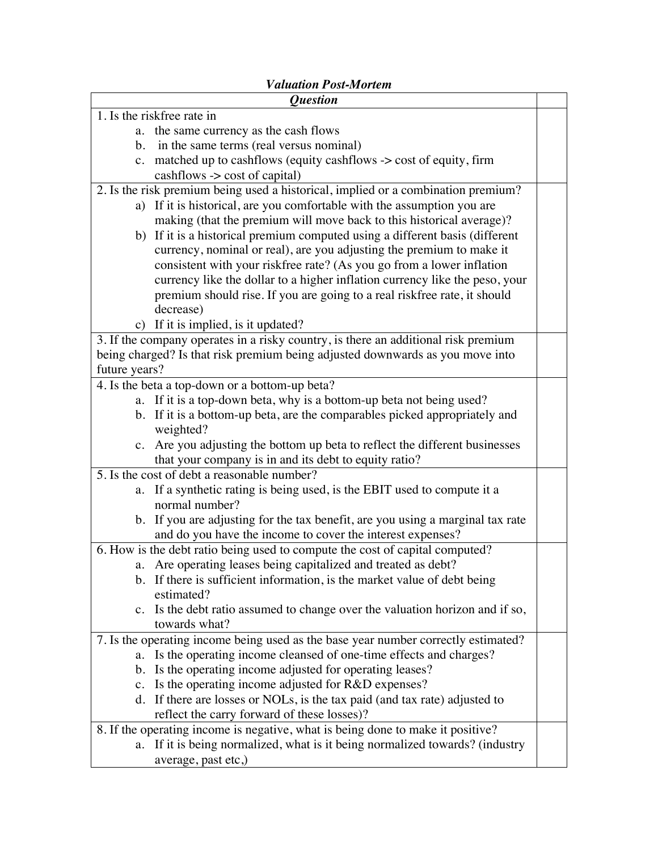## *Valuation Post-Mortem*

| <i><b>Ouestion</b></i>                                                             |  |  |
|------------------------------------------------------------------------------------|--|--|
| 1. Is the riskfree rate in                                                         |  |  |
| a. the same currency as the cash flows                                             |  |  |
| b. in the same terms (real versus nominal)                                         |  |  |
| c. matched up to cashflows (equity cashflows -> cost of equity, firm               |  |  |
| $cashflows \rightarrow cost of capital)$                                           |  |  |
| 2. Is the risk premium being used a historical, implied or a combination premium?  |  |  |
| a) If it is historical, are you comfortable with the assumption you are            |  |  |
| making (that the premium will move back to this historical average)?               |  |  |
| b) If it is a historical premium computed using a different basis (different       |  |  |
| currency, nominal or real), are you adjusting the premium to make it               |  |  |
| consistent with your riskfree rate? (As you go from a lower inflation              |  |  |
| currency like the dollar to a higher inflation currency like the peso, your        |  |  |
| premium should rise. If you are going to a real riskfree rate, it should           |  |  |
| decrease)                                                                          |  |  |
| c) If it is implied, is it updated?                                                |  |  |
| 3. If the company operates in a risky country, is there an additional risk premium |  |  |
| being charged? Is that risk premium being adjusted downwards as you move into      |  |  |
| future years?                                                                      |  |  |
| 4. Is the beta a top-down or a bottom-up beta?                                     |  |  |
| a. If it is a top-down beta, why is a bottom-up beta not being used?               |  |  |
| b. If it is a bottom-up beta, are the comparables picked appropriately and         |  |  |
| weighted?                                                                          |  |  |
| c. Are you adjusting the bottom up beta to reflect the different businesses        |  |  |
| that your company is in and its debt to equity ratio?                              |  |  |
| 5. Is the cost of debt a reasonable number?                                        |  |  |
| a. If a synthetic rating is being used, is the EBIT used to compute it a           |  |  |
| normal number?                                                                     |  |  |
| b. If you are adjusting for the tax benefit, are you using a marginal tax rate     |  |  |
| and do you have the income to cover the interest expenses?                         |  |  |
| 6. How is the debt ratio being used to compute the cost of capital computed?       |  |  |
| a. Are operating leases being capitalized and treated as debt?                     |  |  |
| b. If there is sufficient information, is the market value of debt being           |  |  |
| estimated?                                                                         |  |  |
| c. Is the debt ratio assumed to change over the valuation horizon and if so,       |  |  |
| towards what?                                                                      |  |  |
| 7. Is the operating income being used as the base year number correctly estimated? |  |  |
| Is the operating income cleansed of one-time effects and charges?<br>a.            |  |  |
| b. Is the operating income adjusted for operating leases?                          |  |  |
| c. Is the operating income adjusted for R&D expenses?                              |  |  |
| d. If there are losses or NOLs, is the tax paid (and tax rate) adjusted to         |  |  |
| reflect the carry forward of these losses)?                                        |  |  |
| 8. If the operating income is negative, what is being done to make it positive?    |  |  |
| a. If it is being normalized, what is it being normalized towards? (industry       |  |  |
| average, past etc,)                                                                |  |  |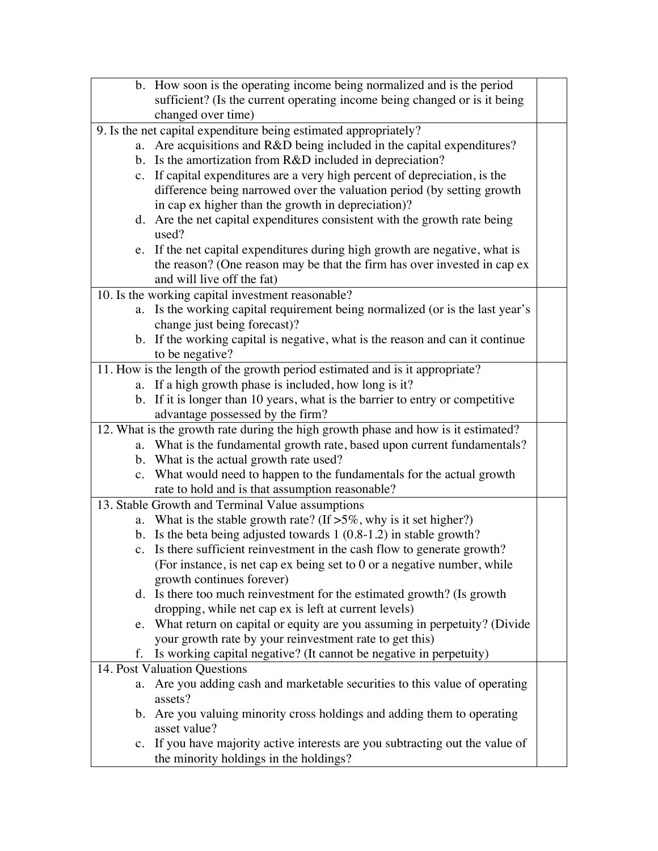|                                                   | b. How soon is the operating income being normalized and is the period            |  |  |
|---------------------------------------------------|-----------------------------------------------------------------------------------|--|--|
|                                                   | sufficient? (Is the current operating income being changed or is it being         |  |  |
|                                                   | changed over time)                                                                |  |  |
|                                                   | 9. Is the net capital expenditure being estimated appropriately?                  |  |  |
|                                                   | a. Are acquisitions and R&D being included in the capital expenditures?           |  |  |
|                                                   | b. Is the amortization from R&D included in depreciation?                         |  |  |
|                                                   | c. If capital expenditures are a very high percent of depreciation, is the        |  |  |
|                                                   | difference being narrowed over the valuation period (by setting growth            |  |  |
|                                                   | in cap ex higher than the growth in depreciation)?                                |  |  |
|                                                   | d. Are the net capital expenditures consistent with the growth rate being         |  |  |
|                                                   | used?                                                                             |  |  |
|                                                   | e. If the net capital expenditures during high growth are negative, what is       |  |  |
|                                                   | the reason? (One reason may be that the firm has over invested in cap ex          |  |  |
|                                                   | and will live off the fat)                                                        |  |  |
| 10. Is the working capital investment reasonable? |                                                                                   |  |  |
|                                                   | a. Is the working capital requirement being normalized (or is the last year's     |  |  |
|                                                   | change just being forecast)?                                                      |  |  |
|                                                   |                                                                                   |  |  |
|                                                   | b. If the working capital is negative, what is the reason and can it continue     |  |  |
|                                                   | to be negative?                                                                   |  |  |
|                                                   | 11. How is the length of the growth period estimated and is it appropriate?       |  |  |
|                                                   | a. If a high growth phase is included, how long is it?                            |  |  |
|                                                   | b. If it is longer than 10 years, what is the barrier to entry or competitive     |  |  |
|                                                   | advantage possessed by the firm?                                                  |  |  |
|                                                   | 12. What is the growth rate during the high growth phase and how is it estimated? |  |  |
|                                                   | a. What is the fundamental growth rate, based upon current fundamentals?          |  |  |
|                                                   | b. What is the actual growth rate used?                                           |  |  |
|                                                   | c. What would need to happen to the fundamentals for the actual growth            |  |  |
|                                                   | rate to hold and is that assumption reasonable?                                   |  |  |
|                                                   | 13. Stable Growth and Terminal Value assumptions                                  |  |  |
|                                                   | a. What is the stable growth rate? (If $>5\%$ , why is it set higher?)            |  |  |
|                                                   | b. Is the beta being adjusted towards $1(0.8-1.2)$ in stable growth?              |  |  |
|                                                   | c. Is there sufficient reinvestment in the cash flow to generate growth?          |  |  |
|                                                   | (For instance, is net cap $ex$ being set to $0$ or a negative number, while       |  |  |
|                                                   | growth continues forever)                                                         |  |  |
|                                                   | d. Is there too much reinvestment for the estimated growth? (Is growth            |  |  |
|                                                   | dropping, while net cap ex is left at current levels)                             |  |  |
|                                                   | e. What return on capital or equity are you assuming in perpetuity? (Divide       |  |  |
|                                                   | your growth rate by your reinvestment rate to get this)                           |  |  |
|                                                   | f. Is working capital negative? (It cannot be negative in perpetuity)             |  |  |
| 14. Post Valuation Questions                      |                                                                                   |  |  |
| a.                                                | Are you adding cash and marketable securities to this value of operating          |  |  |
|                                                   | assets?                                                                           |  |  |
|                                                   | b. Are you valuing minority cross holdings and adding them to operating           |  |  |
|                                                   | asset value?                                                                      |  |  |
|                                                   | c. If you have majority active interests are you subtracting out the value of     |  |  |
|                                                   | the minority holdings in the holdings?                                            |  |  |
|                                                   |                                                                                   |  |  |